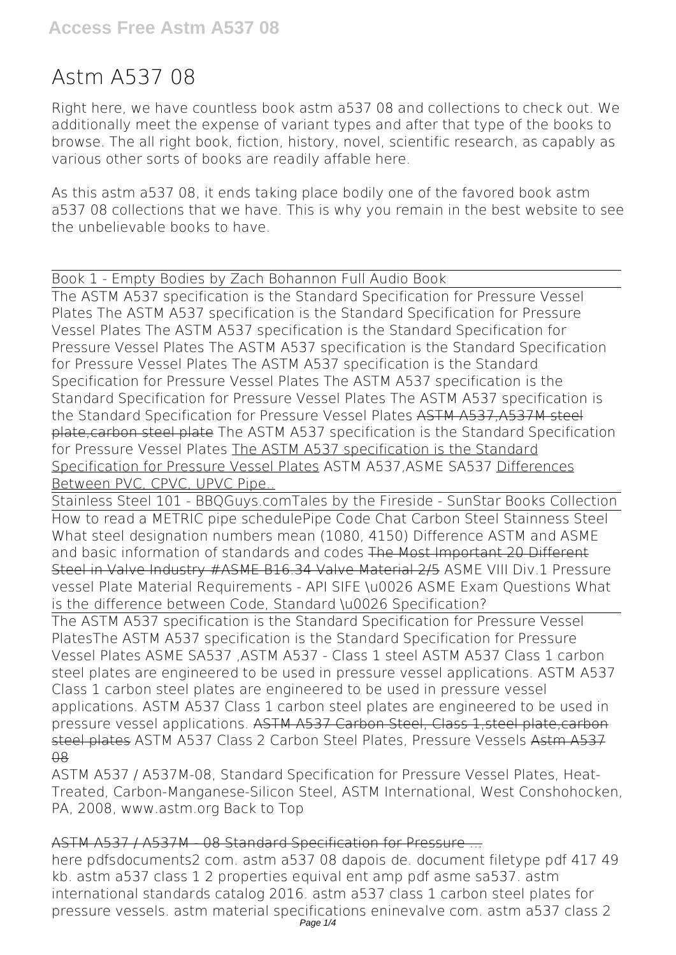# **Astm A537 08**

Right here, we have countless book **astm a537 08** and collections to check out. We additionally meet the expense of variant types and after that type of the books to browse. The all right book, fiction, history, novel, scientific research, as capably as various other sorts of books are readily affable here.

As this astm a537 08, it ends taking place bodily one of the favored book astm a537 08 collections that we have. This is why you remain in the best website to see the unbelievable books to have.

Book 1 - Empty Bodies by Zach Bohannon Full Audio Book

The ASTM A537 specification is the Standard Specification for Pressure Vessel Plates The ASTM A537 specification is the Standard Specification for Pressure Vessel Plates *The ASTM A537 specification is the Standard Specification for Pressure Vessel Plates The ASTM A537 specification is the Standard Specification for Pressure Vessel Plates The ASTM A537 specification is the Standard Specification for Pressure Vessel Plates The ASTM A537 specification is the Standard Specification for Pressure Vessel Plates The ASTM A537 specification is the Standard Specification for Pressure Vessel Plates* ASTM A537,A537M steel plate,carbon steel plate *The ASTM A537 specification is the Standard Specification for Pressure Vessel Plates* The ASTM A537 specification is the Standard Specification for Pressure Vessel Plates *ASTM A537,ASME SA537* Differences Between PVC, CPVC, UPVC Pipe..

Stainless Steel 101 - BBQGuys.com*Tales by the Fireside - SunStar Books Collection* How to read a METRIC pipe schedule*Pipe Code Chat Carbon Steel Stainness Steel What steel designation numbers mean (1080, 4150) Difference ASTM and ASME and basic information of standards and codes* The Most Important 20 Different Steel in Valve Industry #ASME B16.34 Valve Material 2/5 ASME VIII Div.1 Pressure vessel Plate Material Requirements - API SIFE \u0026 ASME Exam Questions What is the difference between Code, Standard \u0026 Specification?

The ASTM A537 specification is the Standard Specification for Pressure Vessel Plates*The ASTM A537 specification is the Standard Specification for Pressure Vessel Plates ASME SA537 ,ASTM A537 - Class 1 steel ASTM A537 Class 1 carbon steel plates are engineered to be used in pressure vessel applications. ASTM A537 Class 1 carbon steel plates are engineered to be used in pressure vessel applications. ASTM A537 Class 1 carbon steel plates are engineered to be used in pressure vessel applications.* ASTM A537 Carbon Steel, Class 1,steel plate,carbon steel plates *ASTM A537 Class 2 Carbon Steel Plates, Pressure Vessels* Astm A537  $\overline{A}$ 

ASTM A537 / A537M-08, Standard Specification for Pressure Vessel Plates, Heat-Treated, Carbon-Manganese-Silicon Steel, ASTM International, West Conshohocken, PA, 2008, www.astm.org Back to Top

#### ASTM A537 / A537M - 08 Standard Specification for Pressure ...

here pdfsdocuments2 com. astm a537 08 dapois de. document filetype pdf 417 49 kb. astm a537 class 1 2 properties equival ent amp pdf asme sa537. astm international standards catalog 2016. astm a537 class 1 carbon steel plates for pressure vessels. astm material specifications eninevalve com. astm a537 class 2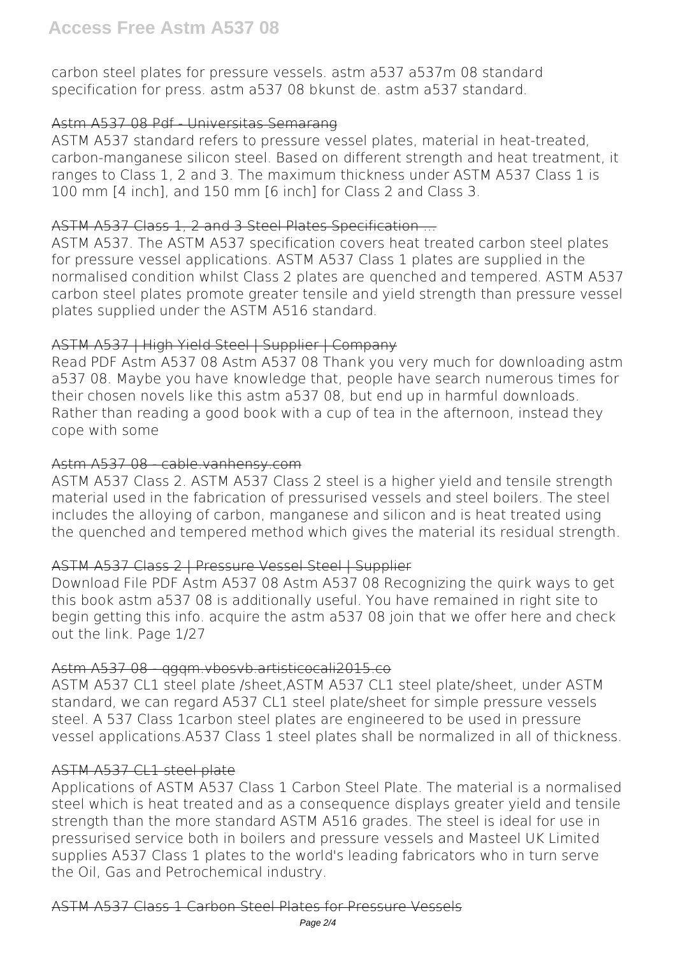carbon steel plates for pressure vessels. astm a537 a537m 08 standard specification for press. astm a537 08 bkunst de. astm a537 standard.

## Astm A537 08 Pdf - Universitas Semarang

ASTM A537 standard refers to pressure vessel plates, material in heat-treated, carbon-manganese silicon steel. Based on different strength and heat treatment, it ranges to Class 1, 2 and 3. The maximum thickness under ASTM A537 Class 1 is 100 mm [4 inch], and 150 mm [6 inch] for Class 2 and Class 3.

### ASTM A537 Class 1, 2 and 3 Steel Plates Specification ...

ASTM A537. The ASTM A537 specification covers heat treated carbon steel plates for pressure vessel applications. ASTM A537 Class 1 plates are supplied in the normalised condition whilst Class 2 plates are quenched and tempered. ASTM A537 carbon steel plates promote greater tensile and yield strength than pressure vessel plates supplied under the ASTM A516 standard.

# ASTM A537 | High Yield Steel | Supplier | Company

Read PDF Astm A537 08 Astm A537 08 Thank you very much for downloading astm a537 08. Maybe you have knowledge that, people have search numerous times for their chosen novels like this astm a537 08, but end up in harmful downloads. Rather than reading a good book with a cup of tea in the afternoon, instead they cope with some

### Astm A537 08 cable.vanhensy.com

ASTM A537 Class 2. ASTM A537 Class 2 steel is a higher yield and tensile strength material used in the fabrication of pressurised vessels and steel boilers. The steel includes the alloying of carbon, manganese and silicon and is heat treated using the quenched and tempered method which gives the material its residual strength.

# ASTM A537 Class 2 | Pressure Vessel Steel | Supplier

Download File PDF Astm A537 08 Astm A537 08 Recognizing the quirk ways to get this book astm a537 08 is additionally useful. You have remained in right site to begin getting this info. acquire the astm a537 08 join that we offer here and check out the link. Page 1/27

#### Astm A537 08 aggm.vbosvb.artisticocali2015.co

ASTM A537 CL1 steel plate /sheet,ASTM A537 CL1 steel plate/sheet, under ASTM standard, we can regard A537 CL1 steel plate/sheet for simple pressure vessels steel. A 537 Class 1carbon steel plates are engineered to be used in pressure vessel applications.A537 Class 1 steel plates shall be normalized in all of thickness.

# ASTM A537 CL1 steel plate

Applications of ASTM A537 Class 1 Carbon Steel Plate. The material is a normalised steel which is heat treated and as a consequence displays greater yield and tensile strength than the more standard ASTM A516 grades. The steel is ideal for use in pressurised service both in boilers and pressure vessels and Masteel UK Limited supplies A537 Class 1 plates to the world's leading fabricators who in turn serve the Oil, Gas and Petrochemical industry.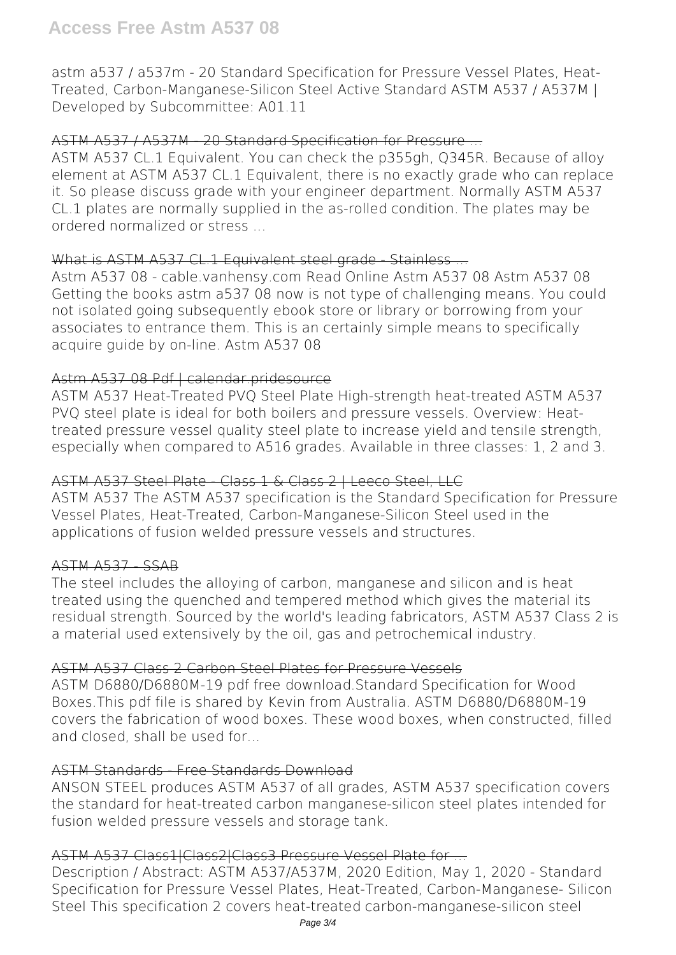astm a537 / a537m - 20 Standard Specification for Pressure Vessel Plates, Heat-Treated, Carbon-Manganese-Silicon Steel Active Standard ASTM A537 / A537M | Developed by Subcommittee: A01.11

### ASTM A537 / A537M - 20 Standard Specification for Pressure ...

ASTM A537 CL.1 Equivalent. You can check the p355gh, Q345R. Because of alloy element at ASTM A537 CL.1 Equivalent, there is no exactly grade who can replace it. So please discuss grade with your engineer department. Normally ASTM A537 CL.1 plates are normally supplied in the as-rolled condition. The plates may be ordered normalized or stress ...

### What is ASTM A537 CL.1 Equivalent steel grade Stainless ...

Astm A537 08 - cable.vanhensy.com Read Online Astm A537 08 Astm A537 08 Getting the books astm a537 08 now is not type of challenging means. You could not isolated going subsequently ebook store or library or borrowing from your associates to entrance them. This is an certainly simple means to specifically acquire guide by on-line. Astm A537 08

# Astm A537 08 Pdf | calendar.pridesource

ASTM A537 Heat-Treated PVQ Steel Plate High-strength heat-treated ASTM A537 PVQ steel plate is ideal for both boilers and pressure vessels. Overview: Heattreated pressure vessel quality steel plate to increase yield and tensile strength, especially when compared to A516 grades. Available in three classes: 1, 2 and 3.

#### ASTM A537 Steel Plate - Class 1 & Class 2 | Leeco Steel, LLC

ASTM A537 The ASTM A537 specification is the Standard Specification for Pressure Vessel Plates, Heat-Treated, Carbon-Manganese-Silicon Steel used in the applications of fusion welded pressure vessels and structures.

#### ASTM A537 SSAB

The steel includes the alloying of carbon, manganese and silicon and is heat treated using the quenched and tempered method which gives the material its residual strength. Sourced by the world's leading fabricators, ASTM A537 Class 2 is a material used extensively by the oil, gas and petrochemical industry.

#### ASTM A537 Class 2 Carbon Steel Plates for Pressure Vessels

ASTM D6880/D6880M-19 pdf free download.Standard Specification for Wood Boxes.This pdf file is shared by Kevin from Australia. ASTM D6880/D6880M-19 covers the fabrication of wood boxes. These wood boxes, when constructed, filled and closed, shall be used for...

#### ASTM Standards Free Standards Download

ANSON STEEL produces ASTM A537 of all grades, ASTM A537 specification covers the standard for heat-treated carbon manganese-silicon steel plates intended for fusion welded pressure vessels and storage tank.

# ASTM A537 Class1|Class2|Class3 Pressure Vessel Plate for ...

Description / Abstract: ASTM A537/A537M, 2020 Edition, May 1, 2020 - Standard Specification for Pressure Vessel Plates, Heat-Treated, Carbon-Manganese- Silicon Steel This specification 2 covers heat-treated carbon-manganese-silicon steel